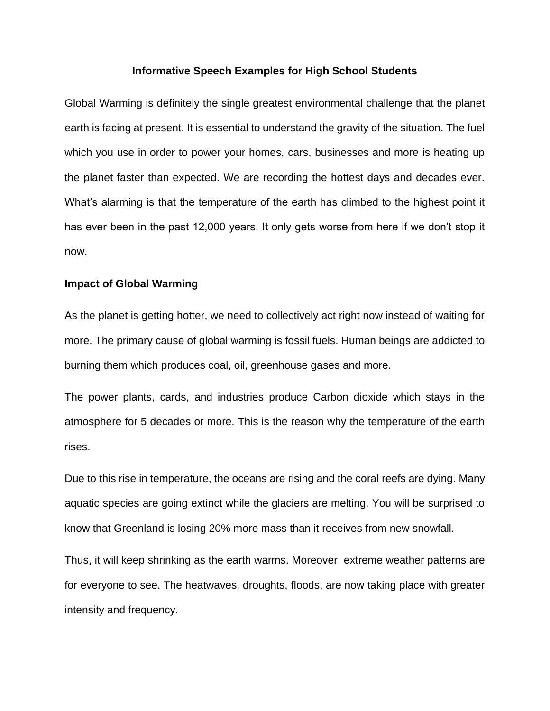## **Informative Speech Examples for High School Students**

Global Warming is definitely the single greatest environmental challenge that the planet earth is facing at present. It is essential to understand the gravity of the situation. The fuel which you use in order to power your homes, cars, businesses and more is heating up the planet faster than expected. We are recording the hottest days and decades ever. What's alarming is that the temperature of the earth has climbed to the highest point it has ever been in the past 12,000 years. It only gets worse from here if we don't stop it now.

## **Impact of Global Warming**

As the planet is getting hotter, we need to collectively act right now instead of waiting for more. The primary cause of global warming is fossil fuels. Human beings are addicted to burning them which produces coal, oil, greenhouse gases and more.

The power plants, cards, and industries produce Carbon dioxide which stays in the atmosphere for 5 decades or more. This is the reason why the temperature of the earth rises.

Due to this rise in temperature, the oceans are rising and the coral reefs are dying. Many aquatic species are going extinct while the glaciers are melting. You will be surprised to know that Greenland is losing 20% more mass than it receives from new snowfall.

Thus, it will keep shrinking as the earth warms. Moreover, extreme weather patterns are for everyone to see. The heatwaves, droughts, floods, are now taking place with greater intensity and frequency.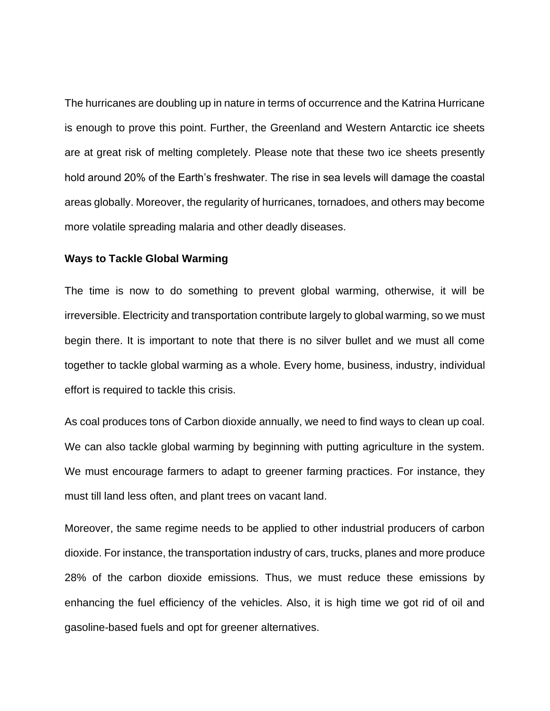The hurricanes are doubling up in nature in terms of occurrence and the Katrina Hurricane is enough to prove this point. Further, the Greenland and Western Antarctic ice sheets are at great risk of melting completely. Please note that these two ice sheets presently hold around 20% of the Earth's freshwater. The rise in sea levels will damage the coastal areas globally. Moreover, the regularity of hurricanes, tornadoes, and others may become more volatile spreading malaria and other deadly diseases.

## **Ways to Tackle Global Warming**

The time is now to do something to prevent global warming, otherwise, it will be irreversible. Electricity and transportation contribute largely to global warming, so we must begin there. It is important to note that there is no silver bullet and we must all come together to tackle global warming as a whole. Every home, business, industry, individual effort is required to tackle this crisis.

As coal produces tons of Carbon dioxide annually, we need to find ways to clean up coal. We can also tackle global warming by beginning with putting agriculture in the system. We must encourage farmers to adapt to greener farming practices. For instance, they must till land less often, and plant trees on vacant land.

Moreover, the same regime needs to be applied to other industrial producers of carbon dioxide. For instance, the transportation industry of cars, trucks, planes and more produce 28% of the carbon dioxide emissions. Thus, we must reduce these emissions by enhancing the fuel efficiency of the vehicles. Also, it is high time we got rid of oil and gasoline-based fuels and opt for greener alternatives.